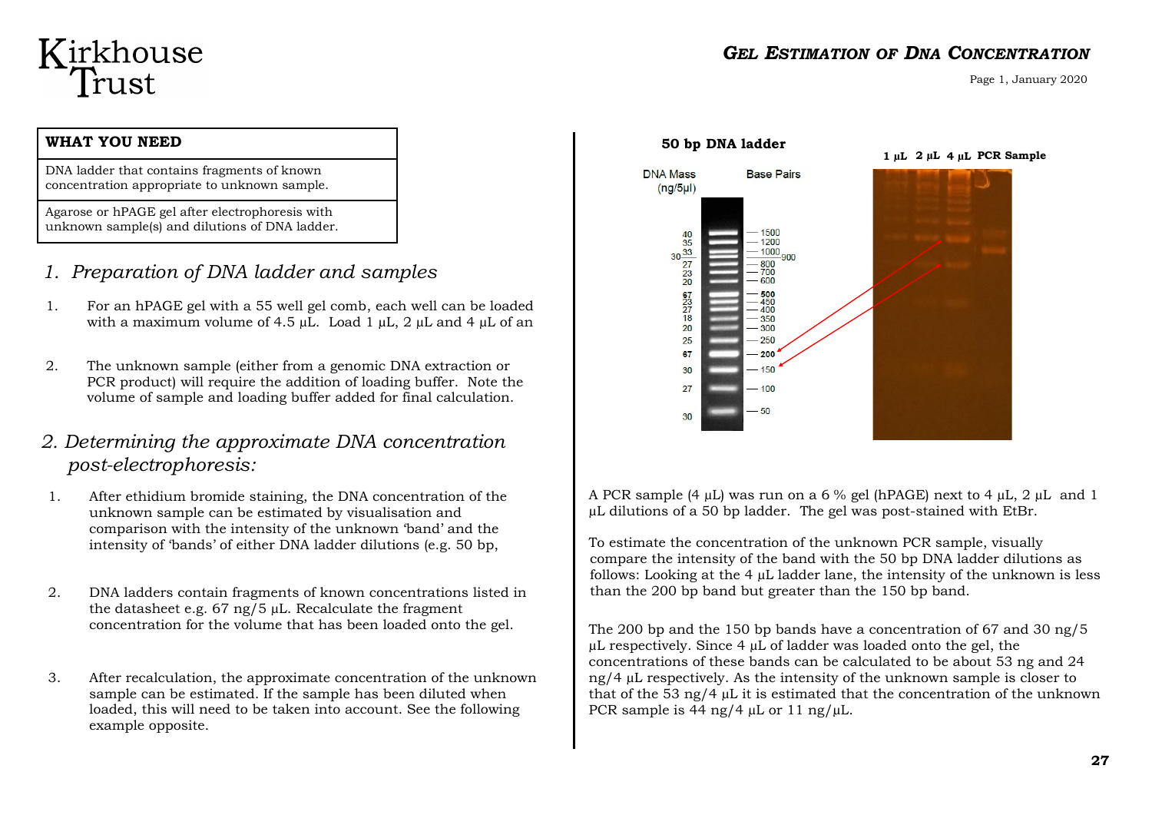# Kirkhouse<br>Trust

#### **WHAT YOU NEED**

DNA ladder that contains fragments of known concentration appropriate to unknown sample.

Agarose or hPAGE gel after electrophoresis with unknown sample(s) and dilutions of DNA ladder.

- *1. Preparation of DNA ladder and samples*
- 1. For an hPAGE gel with a 55 well gel comb, each well can be loaded with a maximum volume of 4.5  $\mu$ L. Load 1  $\mu$ L, 2  $\mu$ L and 4  $\mu$ L of an
- 2. The unknown sample (either from a genomic DNA extraction or PCR product) will require the addition of loading buffer. Note the volume of sample and loading buffer added for final calculation.

### *2. Determining the approximate DNA concentration post-electrophoresis:*

- 1. After ethidium bromide staining, the DNA concentration of the unknown sample can be estimated by visualisation and comparison with the intensity of the unknown 'band' and the intensity of 'bands' of either DNA ladder dilutions (e.g. 50 bp,
- 2. DNA ladders contain fragments of known concentrations listed in the datasheet e.g.  $67 \text{ ng}/5 \mu L$ . Recalculate the fragment concentration for the volume that has been loaded onto the gel.
- 3. After recalculation, the approximate concentration of the unknown sample can be estimated. If the sample has been diluted when loaded, this will need to be taken into account. See the following example opposite.



#### *GEL ESTIMATION OF DNA CONCENTRATION*

Page 1, January 2020

A PCR sample (4  $\mu$ L) was run on a 6 % gel (hPAGE) next to 4  $\mu$ L, 2  $\mu$ L and 1 µL dilutions of a 50 bp ladder. The gel was post-stained with EtBr.

To estimate the concentration of the unknown PCR sample, visually compare the intensity of the band with the 50 bp DNA ladder dilutions as follows: Looking at the 4 µL ladder lane, the intensity of the unknown is less than the 200 bp band but greater than the 150 bp band.

The 200 bp and the 150 bp bands have a concentration of 67 and 30 ng/5  $\mu$ L respectively. Since 4  $\mu$ L of ladder was loaded onto the gel, the concentrations of these bands can be calculated to be about 53 ng and 24 ng/4 µL respectively. As the intensity of the unknown sample is closer to that of the 53 ng/4 µL it is estimated that the concentration of the unknown PCR sample is 44 ng/4  $\mu$ L or 11 ng/ $\mu$ L.